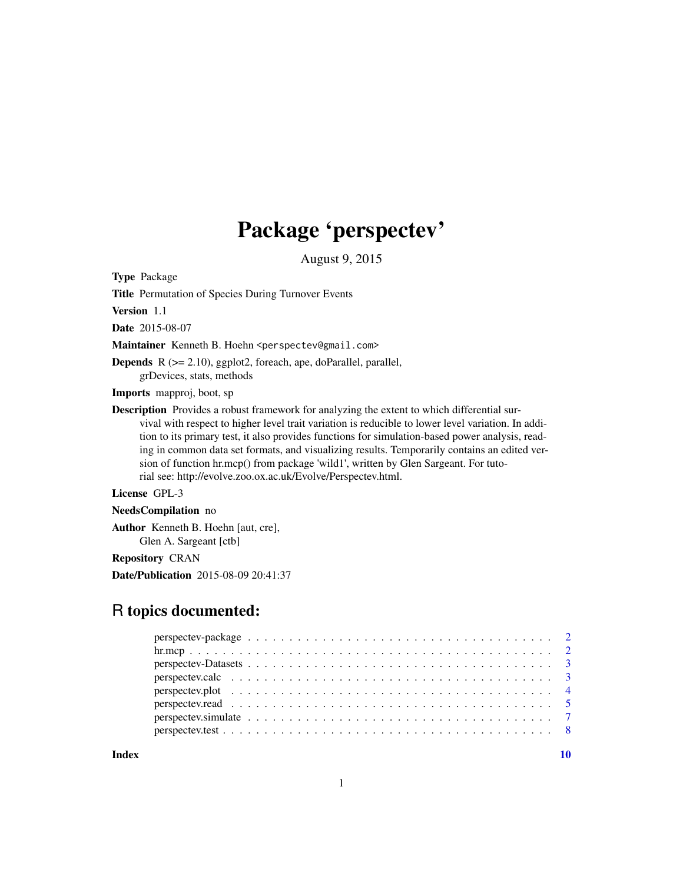## Package 'perspectev'

August 9, 2015

<span id="page-0-0"></span>Type Package

Title Permutation of Species During Turnover Events

Version 1.1

Date 2015-08-07

Maintainer Kenneth B. Hoehn <perspectev@gmail.com>

Depends R (>= 2.10), ggplot2, foreach, ape, doParallel, parallel, grDevices, stats, methods

Imports mapproj, boot, sp

Description Provides a robust framework for analyzing the extent to which differential survival with respect to higher level trait variation is reducible to lower level variation. In addition to its primary test, it also provides functions for simulation-based power analysis, reading in common data set formats, and visualizing results. Temporarily contains an edited version of function hr.mcp() from package 'wild1', written by Glen Sargeant. For tutorial see: http://evolve.zoo.ox.ac.uk/Evolve/Perspectev.html.

License GPL-3

NeedsCompilation no

Author Kenneth B. Hoehn [aut, cre], Glen A. Sargeant [ctb]

Repository CRAN

Date/Publication 2015-08-09 20:41:37

### R topics documented:

 $\blacksquare$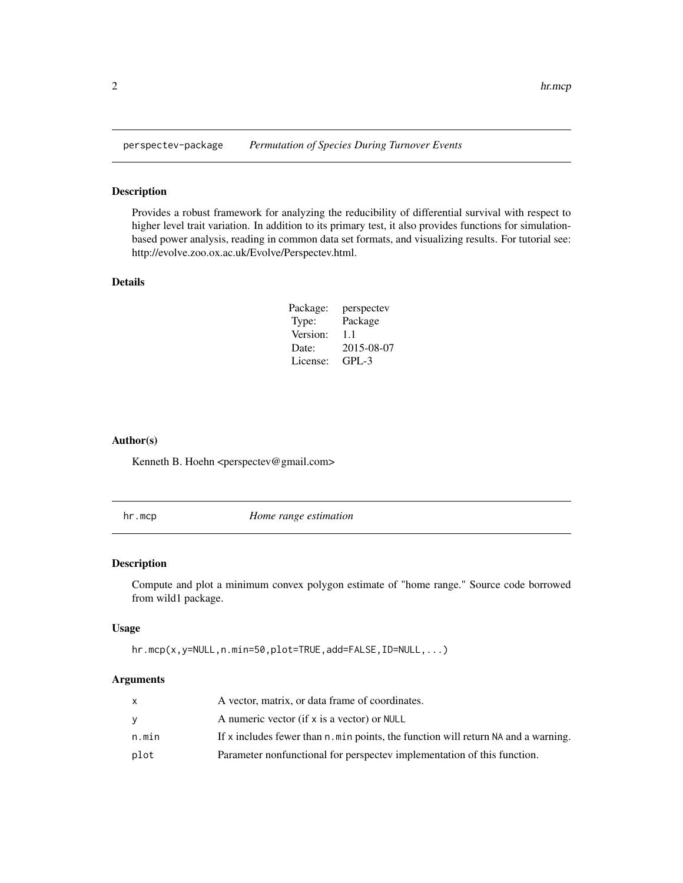<span id="page-1-0"></span>

#### Description

Provides a robust framework for analyzing the reducibility of differential survival with respect to higher level trait variation. In addition to its primary test, it also provides functions for simulationbased power analysis, reading in common data set formats, and visualizing results. For tutorial see: http://evolve.zoo.ox.ac.uk/Evolve/Perspectev.html.

#### Details

| Package: | perspectev |
|----------|------------|
| Type:    | Package    |
| Version: | 1.1        |
| Date:    | 2015-08-07 |
| License: | $GPI - 3$  |

#### Author(s)

Kenneth B. Hoehn <perspectev@gmail.com>

hr.mcp *Home range estimation*

#### **Description**

Compute and plot a minimum convex polygon estimate of "home range." Source code borrowed from wild1 package.

#### Usage

```
hr.mcp(x,y=NULL,n.min=50,plot=TRUE,add=FALSE,ID=NULL,...)
```

|       | A vector, matrix, or data frame of coordinates.                                   |
|-------|-----------------------------------------------------------------------------------|
| v     | A numeric vector (if x is a vector) or NULL                                       |
| n.min | If x includes fewer than n.min points, the function will return NA and a warning. |
| plot  | Parameter nonfunctional for perspectev implementation of this function.           |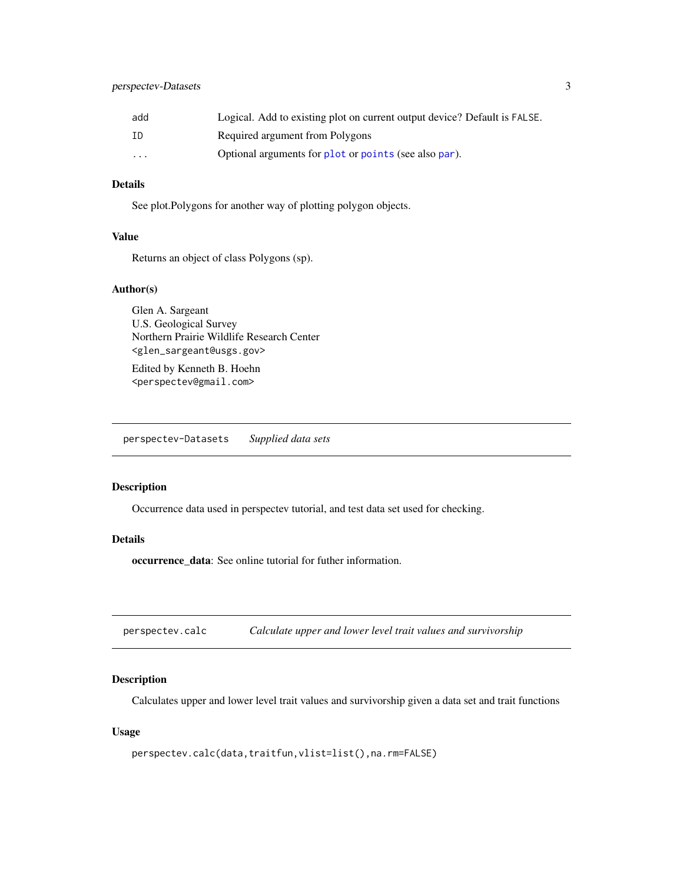<span id="page-2-0"></span>

| add      | Logical. Add to existing plot on current output device? Default is FALSE. |
|----------|---------------------------------------------------------------------------|
| ΙD       | Required argument from Polygons                                           |
| $\cdots$ | Optional arguments for plot or points (see also par).                     |

#### Details

See plot.Polygons for another way of plotting polygon objects.

#### Value

Returns an object of class Polygons (sp).

#### Author(s)

Glen A. Sargeant U.S. Geological Survey Northern Prairie Wildlife Research Center <glen\_sargeant@usgs.gov>

Edited by Kenneth B. Hoehn <perspectev@gmail.com>

perspectev-Datasets *Supplied data sets*

#### Description

Occurrence data used in perspectev tutorial, and test data set used for checking.

#### Details

occurrence\_data: See online tutorial for futher information.

perspectev.calc *Calculate upper and lower level trait values and survivorship*

#### Description

Calculates upper and lower level trait values and survivorship given a data set and trait functions

#### Usage

```
perspectev.calc(data,traitfun,vlist=list(),na.rm=FALSE)
```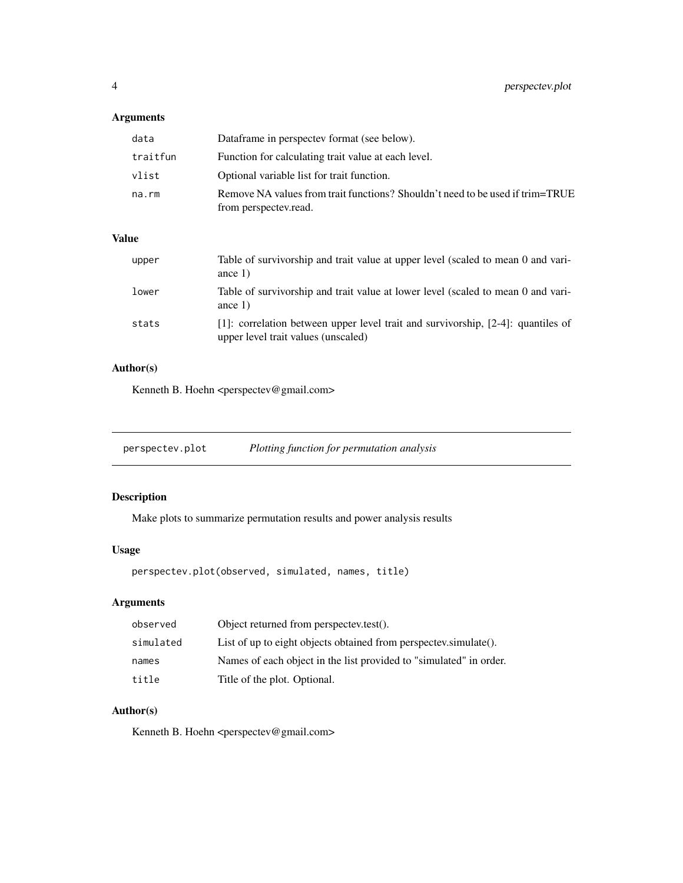#### <span id="page-3-0"></span>Arguments

| data     | Dataframe in perspectey format (see below).                                                            |
|----------|--------------------------------------------------------------------------------------------------------|
| traitfun | Function for calculating trait value at each level.                                                    |
| vlist    | Optional variable list for trait function.                                                             |
| na.rm    | Remove NA values from trait functions? Shouldn't need to be used if trim=TRUE<br>from perspectev.read. |

#### Value

| upper | Table of survivorship and trait value at upper level (scaled to mean 0 and vari-<br>ance $1)$                              |
|-------|----------------------------------------------------------------------------------------------------------------------------|
| lower | Table of survivorship and trait value at lower level (scaled to mean 0 and vari-<br>ance $1)$                              |
| stats | [1]: correlation between upper level trait and survivorship, $[2-4]$ : quantiles of<br>upper level trait values (unscaled) |

#### Author(s)

Kenneth B. Hoehn <perspectev@gmail.com>

| perspectev.plot | Plotting function for permutation analysis |  |
|-----------------|--------------------------------------------|--|
|-----------------|--------------------------------------------|--|

#### Description

Make plots to summarize permutation results and power analysis results

#### Usage

perspectev.plot(observed, simulated, names, title)

#### Arguments

| observed  | Object returned from perspectev.test().                            |
|-----------|--------------------------------------------------------------------|
| simulated | List of up to eight objects obtained from perspectev.simulate().   |
| names     | Names of each object in the list provided to "simulated" in order. |
| title     | Title of the plot. Optional.                                       |

#### Author(s)

Kenneth B. Hoehn <perspectev@gmail.com>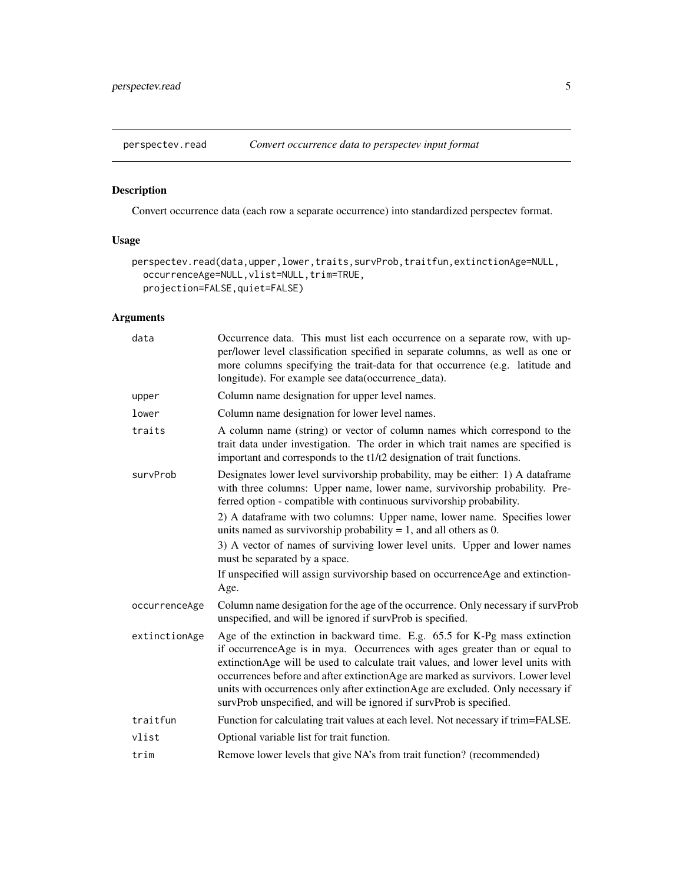<span id="page-4-0"></span>

#### Description

Convert occurrence data (each row a separate occurrence) into standardized perspectev format.

#### Usage

```
perspectev.read(data,upper,lower,traits,survProb,traitfun,extinctionAge=NULL,
 occurrenceAge=NULL,vlist=NULL,trim=TRUE,
 projection=FALSE,quiet=FALSE)
```

| Occurrence data. This must list each occurrence on a separate row, with up-<br>per/lower level classification specified in separate columns, as well as one or<br>more columns specifying the trait-data for that occurrence (e.g. latitude and<br>longitude). For example see data(occurrence_data).                                                                                                                                                                                       |
|---------------------------------------------------------------------------------------------------------------------------------------------------------------------------------------------------------------------------------------------------------------------------------------------------------------------------------------------------------------------------------------------------------------------------------------------------------------------------------------------|
| Column name designation for upper level names.                                                                                                                                                                                                                                                                                                                                                                                                                                              |
| Column name designation for lower level names.                                                                                                                                                                                                                                                                                                                                                                                                                                              |
| A column name (string) or vector of column names which correspond to the<br>trait data under investigation. The order in which trait names are specified is<br>important and corresponds to the t1/t2 designation of trait functions.                                                                                                                                                                                                                                                       |
| Designates lower level survivorship probability, may be either: 1) A dataframe<br>with three columns: Upper name, lower name, survivorship probability. Pre-<br>ferred option - compatible with continuous survivorship probability.                                                                                                                                                                                                                                                        |
| 2) A dataframe with two columns: Upper name, lower name. Specifies lower<br>units named as survivorship probability $= 1$ , and all others as 0.                                                                                                                                                                                                                                                                                                                                            |
| 3) A vector of names of surviving lower level units. Upper and lower names<br>must be separated by a space.                                                                                                                                                                                                                                                                                                                                                                                 |
| If unspecified will assign survivorship based on occurrenceAge and extinction-<br>Age.                                                                                                                                                                                                                                                                                                                                                                                                      |
| Column name desigation for the age of the occurrence. Only necessary if survProb<br>unspecified, and will be ignored if survProb is specified.                                                                                                                                                                                                                                                                                                                                              |
| Age of the extinction in backward time. E.g. 65.5 for K-Pg mass extinction<br>if occurrence Age is in mya. Occurrences with ages greater than or equal to<br>extinctionAge will be used to calculate trait values, and lower level units with<br>occurrences before and after extinctionAge are marked as survivors. Lower level<br>units with occurrences only after extinction Age are excluded. Only necessary if<br>survProb unspecified, and will be ignored if survProb is specified. |
| Function for calculating trait values at each level. Not necessary if trim=FALSE.                                                                                                                                                                                                                                                                                                                                                                                                           |
| Optional variable list for trait function.                                                                                                                                                                                                                                                                                                                                                                                                                                                  |
| Remove lower levels that give NA's from trait function? (recommended)                                                                                                                                                                                                                                                                                                                                                                                                                       |
|                                                                                                                                                                                                                                                                                                                                                                                                                                                                                             |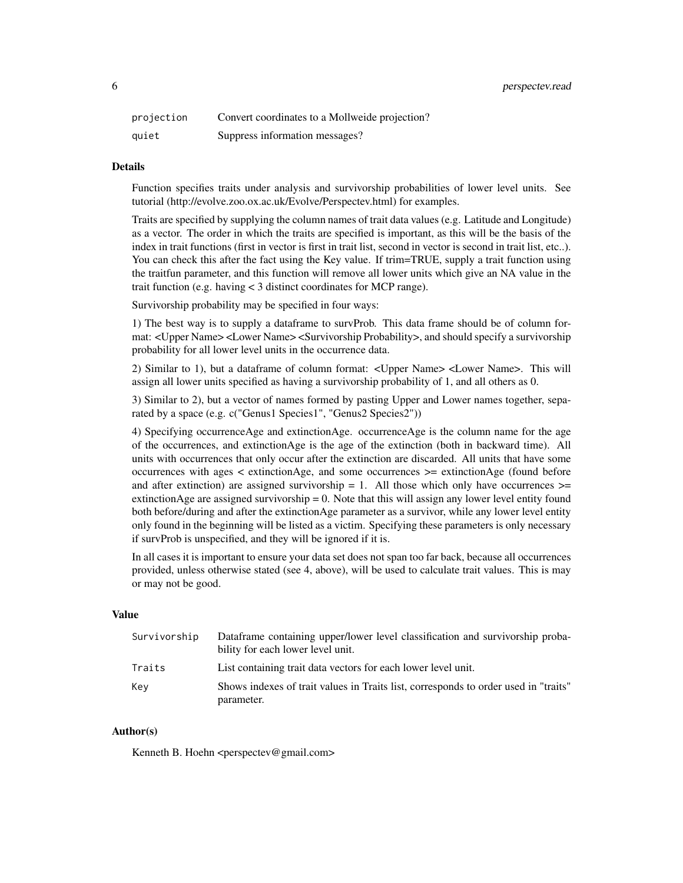6 perspectev.read

| projection | Convert coordinates to a Mollweide projection? |
|------------|------------------------------------------------|
| quiet      | Suppress information messages?                 |

#### Details

Function specifies traits under analysis and survivorship probabilities of lower level units. See tutorial (http://evolve.zoo.ox.ac.uk/Evolve/Perspectev.html) for examples.

Traits are specified by supplying the column names of trait data values (e.g. Latitude and Longitude) as a vector. The order in which the traits are specified is important, as this will be the basis of the index in trait functions (first in vector is first in trait list, second in vector is second in trait list, etc..). You can check this after the fact using the Key value. If trim=TRUE, supply a trait function using the traitfun parameter, and this function will remove all lower units which give an NA value in the trait function (e.g. having < 3 distinct coordinates for MCP range).

Survivorship probability may be specified in four ways:

1) The best way is to supply a dataframe to survProb. This data frame should be of column format: <Upper Name> <Lower Name> <Survivorship Probability>, and should specify a survivorship probability for all lower level units in the occurrence data.

2) Similar to 1), but a dataframe of column format: <Upper Name> <Lower Name>. This will assign all lower units specified as having a survivorship probability of 1, and all others as 0.

3) Similar to 2), but a vector of names formed by pasting Upper and Lower names together, separated by a space (e.g. c("Genus1 Species1", "Genus2 Species2"))

4) Specifying occurrenceAge and extinctionAge. occurrenceAge is the column name for the age of the occurrences, and extinctionAge is the age of the extinction (both in backward time). All units with occurrences that only occur after the extinction are discarded. All units that have some occurrences with ages < extinctionAge, and some occurrences >= extinctionAge (found before and after extinction) are assigned survivorship  $= 1$ . All those which only have occurrences  $\geq$ extinctionAge are assigned survivorship  $= 0$ . Note that this will assign any lower level entity found both before/during and after the extinctionAge parameter as a survivor, while any lower level entity only found in the beginning will be listed as a victim. Specifying these parameters is only necessary if survProb is unspecified, and they will be ignored if it is.

In all cases it is important to ensure your data set does not span too far back, because all occurrences provided, unless otherwise stated (see 4, above), will be used to calculate trait values. This is may or may not be good.

#### Value

| Survivorship | Dataframe containing upper/lower level classification and survivorship proba-<br>bility for each lower level unit. |
|--------------|--------------------------------------------------------------------------------------------------------------------|
| Traits       | List containing trait data vectors for each lower level unit.                                                      |
| Key          | Shows indexes of trait values in Traits list, corresponds to order used in "traits"<br>parameter.                  |

#### Author(s)

Kenneth B. Hoehn <perspectev@gmail.com>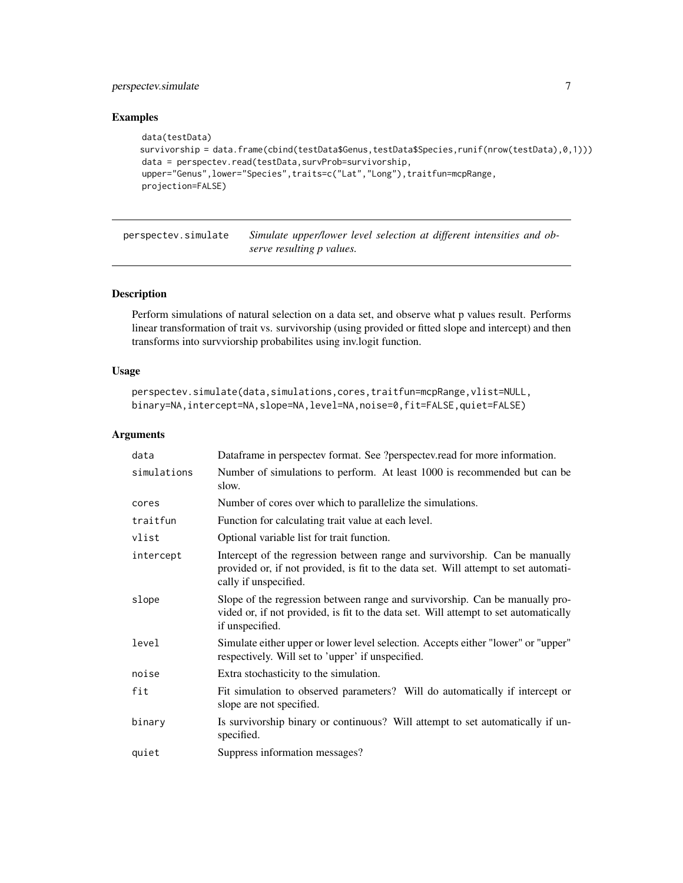#### <span id="page-6-0"></span>perspectev.simulate 7

#### Examples

```
data(testData)
survivorship = data.frame(cbind(testData$Genus,testData$Species,runif(nrow(testData),0,1)))
data = perspectev.read(testData,survProb=survivorship,
upper="Genus",lower="Species",traits=c("Lat","Long"),traitfun=mcpRange,
projection=FALSE)
```
perspectev.simulate *Simulate upper/lower level selection at different intensities and observe resulting p values.*

#### Description

Perform simulations of natural selection on a data set, and observe what p values result. Performs linear transformation of trait vs. survivorship (using provided or fitted slope and intercept) and then transforms into survviorship probabilites using inv.logit function.

#### Usage

```
perspectev.simulate(data,simulations,cores,traitfun=mcpRange,vlist=NULL,
binary=NA,intercept=NA,slope=NA,level=NA,noise=0,fit=FALSE,quiet=FALSE)
```

| data        | Dataframe in perspectev format. See ?perspectev.read for more information.                                                                                                                  |
|-------------|---------------------------------------------------------------------------------------------------------------------------------------------------------------------------------------------|
| simulations | Number of simulations to perform. At least 1000 is recommended but can be<br>slow.                                                                                                          |
| cores       | Number of cores over which to parallelize the simulations.                                                                                                                                  |
| traitfun    | Function for calculating trait value at each level.                                                                                                                                         |
| vlist       | Optional variable list for trait function.                                                                                                                                                  |
| intercept   | Intercept of the regression between range and survivorship. Can be manually<br>provided or, if not provided, is fit to the data set. Will attempt to set automati-<br>cally if unspecified. |
| slope       | Slope of the regression between range and survivorship. Can be manually pro-<br>vided or, if not provided, is fit to the data set. Will attempt to set automatically<br>if unspecified.     |
| level       | Simulate either upper or lower level selection. Accepts either "lower" or "upper"<br>respectively. Will set to 'upper' if unspecified.                                                      |
| noise       | Extra stochasticity to the simulation.                                                                                                                                                      |
| fit         | Fit simulation to observed parameters? Will do automatically if intercept or<br>slope are not specified.                                                                                    |
| binary      | Is survivorship binary or continuous? Will attempt to set automatically if un-<br>specified.                                                                                                |
| quiet       | Suppress information messages?                                                                                                                                                              |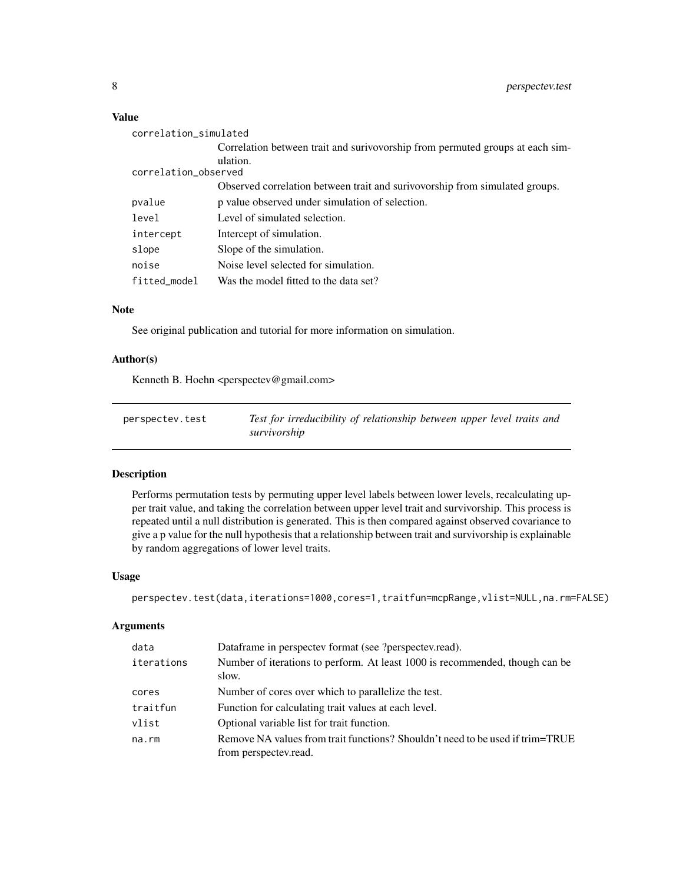#### <span id="page-7-0"></span>Value

| correlation_simulated |                                                                               |  |
|-----------------------|-------------------------------------------------------------------------------|--|
|                       | Correlation between trait and surivovorship from permuted groups at each sim- |  |
|                       | ulation.                                                                      |  |
| correlation_observed  |                                                                               |  |
|                       | Observed correlation between trait and surivovorship from simulated groups.   |  |
| pvalue                | p value observed under simulation of selection.                               |  |
| level                 | Level of simulated selection.                                                 |  |
| intercept             | Intercept of simulation.                                                      |  |
| slope                 | Slope of the simulation.                                                      |  |
| noise                 | Noise level selected for simulation.                                          |  |
| fitted_model          | Was the model fitted to the data set?                                         |  |

#### Note

See original publication and tutorial for more information on simulation.

#### Author(s)

Kenneth B. Hoehn <perspectev@gmail.com>

| perspectev.test | Test for irreducibility of relationship between upper level traits and |
|-----------------|------------------------------------------------------------------------|
|                 | survivorship                                                           |

#### Description

Performs permutation tests by permuting upper level labels between lower levels, recalculating upper trait value, and taking the correlation between upper level trait and survivorship. This process is repeated until a null distribution is generated. This is then compared against observed covariance to give a p value for the null hypothesis that a relationship between trait and survivorship is explainable by random aggregations of lower level traits.

#### Usage

```
perspectev.test(data,iterations=1000,cores=1,traitfun=mcpRange,vlist=NULL,na.rm=FALSE)
```

| data       | Dataframe in perspectev format (see ?perspectev.read).                                                 |
|------------|--------------------------------------------------------------------------------------------------------|
| iterations | Number of iterations to perform. At least 1000 is recommended, though can be<br>slow.                  |
| cores      | Number of cores over which to parallelize the test.                                                    |
| traitfun   | Function for calculating trait values at each level.                                                   |
| vlist      | Optional variable list for trait function.                                                             |
| na.rm      | Remove NA values from trait functions? Shouldn't need to be used if trim=TRUE<br>from perspectev.read. |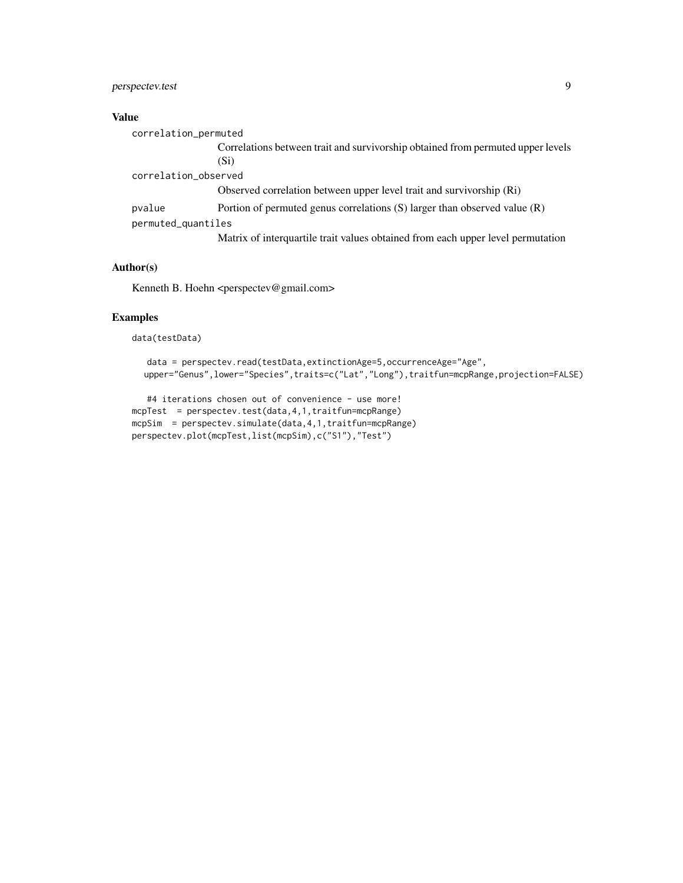#### perspectev.test 9

#### Value

| correlation_permuted |                                                                                         |
|----------------------|-----------------------------------------------------------------------------------------|
|                      | Correlations between trait and survivorship obtained from permuted upper levels<br>(Si) |
| correlation_observed |                                                                                         |
|                      | Observed correlation between upper level trait and survivorship (Ri)                    |
| pvalue               | Portion of permuted genus correlations $(S)$ larger than observed value $(R)$           |
| permuted_quantiles   |                                                                                         |
|                      | Matrix of interquartile trait values obtained from each upper level permutation         |

#### Author(s)

Kenneth B. Hoehn <perspectev@gmail.com>

#### Examples

data(testData)

```
data = perspectev.read(testData,extinctionAge=5,occurrenceAge="Age",
upper="Genus",lower="Species",traits=c("Lat","Long"),traitfun=mcpRange,projection=FALSE)
```

```
#4 iterations chosen out of convenience - use more!
mcpTest = perspectev.test(data,4,1,traitfun=mcpRange)
mcpSim = perspectev.simulate(data,4,1,traitfun=mcpRange)
perspectev.plot(mcpTest,list(mcpSim),c("S1"),"Test")
```